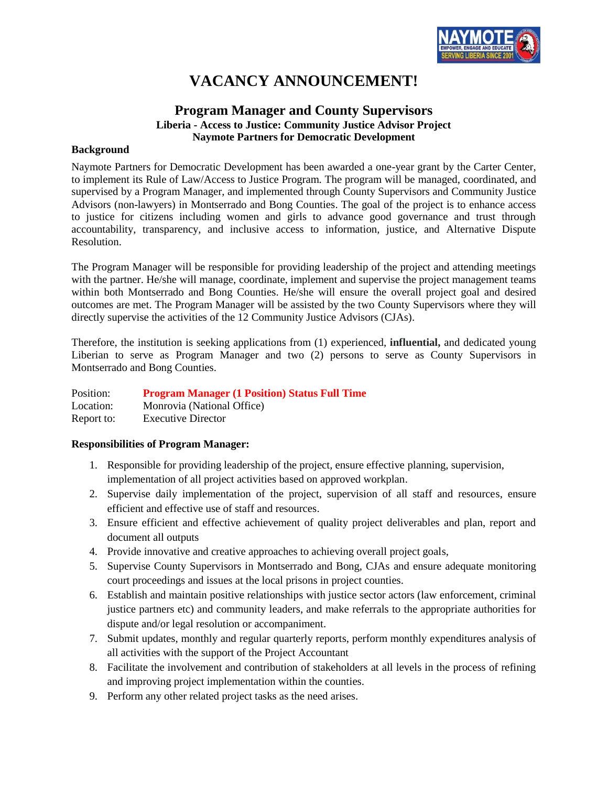

# **VACANCY ANNOUNCEMENT!**

# **Program Manager and County Supervisors Liberia - Access to Justice: Community Justice Advisor Project Naymote Partners for Democratic Development**

### **Background**

Naymote Partners for Democratic Development has been awarded a one-year grant by the Carter Center, to implement its Rule of Law/Access to Justice Program. The program will be managed, coordinated, and supervised by a Program Manager, and implemented through County Supervisors and Community Justice Advisors (non-lawyers) in Montserrado and Bong Counties. The goal of the project is to enhance access to justice for citizens including women and girls to advance good governance and trust through accountability, transparency, and inclusive access to information, justice, and Alternative Dispute Resolution.

The Program Manager will be responsible for providing leadership of the project and attending meetings with the partner. He/she will manage, coordinate, implement and supervise the project management teams within both Montserrado and Bong Counties. He/she will ensure the overall project goal and desired outcomes are met. The Program Manager will be assisted by the two County Supervisors where they will directly supervise the activities of the 12 Community Justice Advisors (CJAs).

Therefore, the institution is seeking applications from (1) experienced, **influential,** and dedicated young Liberian to serve as Program Manager and two (2) persons to serve as County Supervisors in Montserrado and Bong Counties.

Position: **Program Manager (1 Position) Status Full Time** Location: Monrovia (National Office) Report to: Executive Director

# **Responsibilities of Program Manager:**

- 1. Responsible for providing leadership of the project, ensure effective planning, supervision, implementation of all project activities based on approved workplan.
- 2. Supervise daily implementation of the project, supervision of all staff and resources, ensure efficient and effective use of staff and resources.
- 3. Ensure efficient and effective achievement of quality project deliverables and plan, report and document all outputs
- 4. Provide innovative and creative approaches to achieving overall project goals,
- 5. Supervise County Supervisors in Montserrado and Bong, CJAs and ensure adequate monitoring court proceedings and issues at the local prisons in project counties.
- 6. Establish and maintain positive relationships with justice sector actors (law enforcement, criminal justice partners etc) and community leaders, and make referrals to the appropriate authorities for dispute and/or legal resolution or accompaniment.
- 7. Submit updates, monthly and regular quarterly reports, perform monthly expenditures analysis of all activities with the support of the Project Accountant
- 8. Facilitate the involvement and contribution of stakeholders at all levels in the process of refining and improving project implementation within the counties.
- 9. Perform any other related project tasks as the need arises.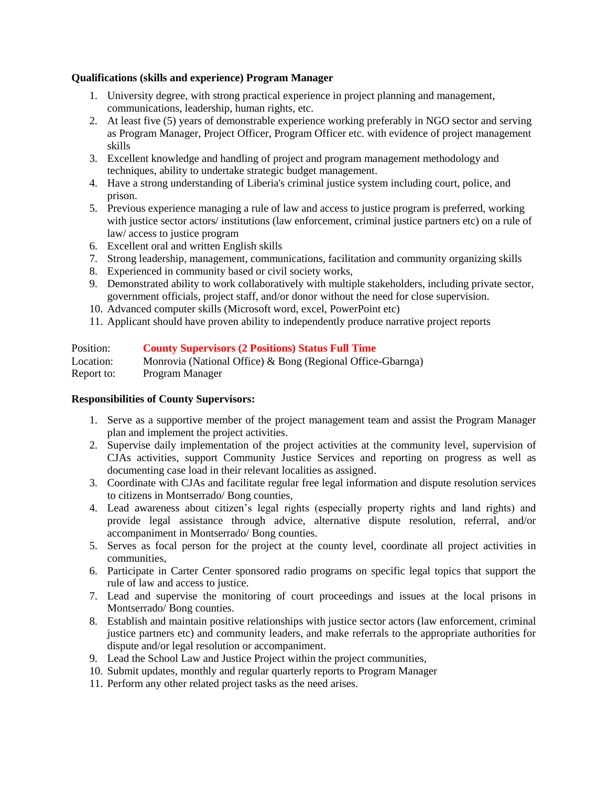# **Qualifications (skills and experience) Program Manager**

- 1. University degree, with strong practical experience in project planning and management, communications, leadership, human rights, etc.
- 2. At least five (5) years of demonstrable experience working preferably in NGO sector and serving as Program Manager, Project Officer, Program Officer etc. with evidence of project management skills
- 3. Excellent knowledge and handling of project and program management methodology and techniques, ability to undertake strategic budget management.
- 4. Have a strong understanding of Liberia's criminal justice system including court, police, and prison.
- 5. Previous experience managing a rule of law and access to justice program is preferred, working with justice sector actors/ institutions (law enforcement, criminal justice partners etc) on a rule of law/ access to justice program
- 6. Excellent oral and written English skills
- 7. Strong leadership, management, communications, facilitation and community organizing skills
- 8. Experienced in community based or civil society works,
- 9. Demonstrated ability to work collaboratively with multiple stakeholders, including private sector, government officials, project staff, and/or donor without the need for close supervision.
- 10. Advanced computer skills (Microsoft word, excel, PowerPoint etc)
- 11. Applicant should have proven ability to independently produce narrative project reports

| Position:  | <b>County Supervisors (2 Positions) Status Full Time</b>    |
|------------|-------------------------------------------------------------|
| Location:  | Monrovia (National Office) & Bong (Regional Office-Gbarnga) |
| Report to: | Program Manager                                             |

# **Responsibilities of County Supervisors:**

- 1. Serve as a supportive member of the project management team and assist the Program Manager plan and implement the project activities.
- 2. Supervise daily implementation of the project activities at the community level, supervision of CJAs activities, support Community Justice Services and reporting on progress as well as documenting case load in their relevant localities as assigned.
- 3. Coordinate with CJAs and facilitate regular free legal information and dispute resolution services to citizens in Montserrado/ Bong counties,
- 4. Lead awareness about citizen's legal rights (especially property rights and land rights) and provide legal assistance through advice, alternative dispute resolution, referral, and/or accompaniment in Montserrado/ Bong counties.
- 5. Serves as focal person for the project at the county level, coordinate all project activities in communities,
- 6. Participate in Carter Center sponsored radio programs on specific legal topics that support the rule of law and access to justice.
- 7. Lead and supervise the monitoring of court proceedings and issues at the local prisons in Montserrado/ Bong counties.
- 8. Establish and maintain positive relationships with justice sector actors (law enforcement, criminal justice partners etc) and community leaders, and make referrals to the appropriate authorities for dispute and/or legal resolution or accompaniment.
- 9. Lead the School Law and Justice Project within the project communities,
- 10. Submit updates, monthly and regular quarterly reports to Program Manager
- 11. Perform any other related project tasks as the need arises.